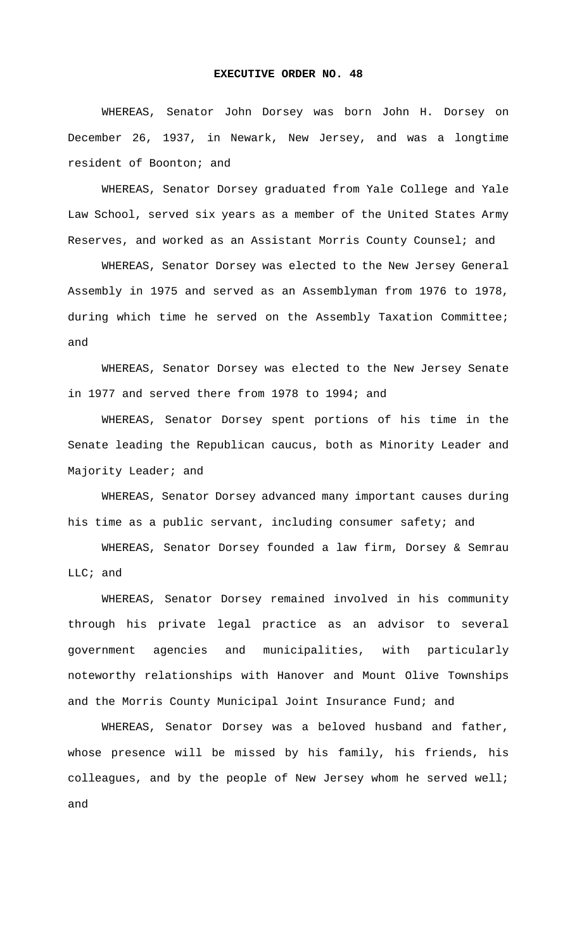WHEREAS, Senator John Dorsey was born John H. Dorsey on December 26, 1937, in Newark, New Jersey, and was a longtime resident of Boonton; and

WHEREAS, Senator Dorsey graduated from Yale College and Yale Law School, served six years as a member of the United States Army Reserves, and worked as an Assistant Morris County Counsel; and

WHEREAS, Senator Dorsey was elected to the New Jersey General Assembly in 1975 and served as an Assemblyman from 1976 to 1978, during which time he served on the Assembly Taxation Committee; and

WHEREAS, Senator Dorsey was elected to the New Jersey Senate in 1977 and served there from 1978 to 1994; and

WHEREAS, Senator Dorsey spent portions of his time in the Senate leading the Republican caucus, both as Minority Leader and Majority Leader; and

WHEREAS, Senator Dorsey advanced many important causes during his time as a public servant, including consumer safety; and

WHEREAS, Senator Dorsey founded a law firm, Dorsey & Semrau LLC; and

WHEREAS, Senator Dorsey remained involved in his community through his private legal practice as an advisor to several government agencies and municipalities, with particularly noteworthy relationships with Hanover and Mount Olive Townships and the Morris County Municipal Joint Insurance Fund; and

WHEREAS, Senator Dorsey was a beloved husband and father, whose presence will be missed by his family, his friends, his colleagues, and by the people of New Jersey whom he served well; and